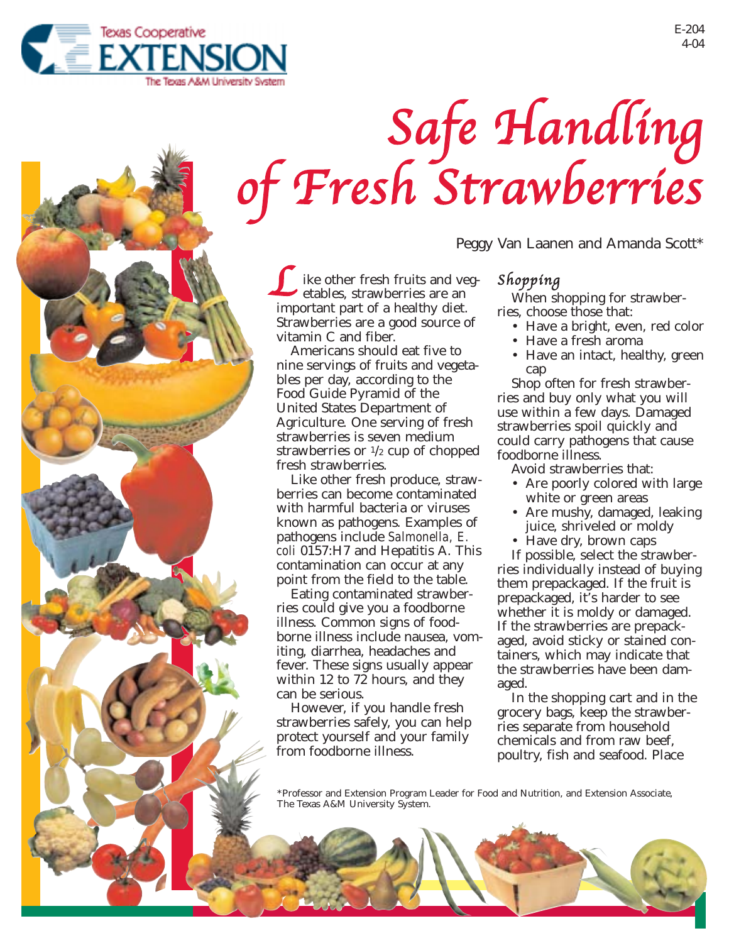

# Safe Handling of Fresh Strawberries

ike other fresh fruits and vegetables, strawberries are an like other fresh fruits and ve etables, strawberries are an important part of a healthy diet. Strawberries are a good source of vitamin C and fiber.

Americans should eat five to nine servings of fruits and vegetables per day, according to the Food Guide Pyramid of the United States Department of Agriculture. One serving of fresh strawberries is seven medium strawberries or  $\frac{1}{2}$  cup of chopped fresh strawberries.

Like other fresh produce, strawberries can become contaminated with harmful bacteria or viruses known as pathogens. Examples of pathogens include *Salmonella, E. coli* 0157:H7 and Hepatitis A. This contamination can occur at any point from the field to the table.

Eating contaminated strawberries could give you a foodborne illness. Common signs of foodborne illness include nausea, vomiting, diarrhea, headaches and fever. These signs usually appear within 12 to 72 hours, and they can be serious.

However, if you handle fresh strawberries safely, you can help protect yourself and your family from foodborne illness.

Peggy Van Laanen and Amanda Scott\*

## Shopping

When shopping for strawberries, choose those that:

- Have a bright, even, red color
- Have a fresh aroma
- Have an intact, healthy, green cap

Shop often for fresh strawberries and buy only what you will use within a few days. Damaged strawberries spoil quickly and could carry pathogens that cause foodborne illness.

Avoid strawberries that:

- Are poorly colored with large white or green areas
- Are mushy, damaged, leaking juice, shriveled or moldy
- Have dry, brown caps

If possible, select the strawberries individually instead of buying them prepackaged. If the fruit is prepackaged, it's harder to see whether it is moldy or damaged. If the strawberries are prepackaged, avoid sticky or stained containers, which may indicate that the strawberries have been damaged.

In the shopping cart and in the grocery bags, keep the strawberries separate from household chemicals and from raw beef, poultry, fish and seafood. Place

\*Professor and Extension Program Leader for Food and Nutrition, and Extension Associate, The Texas A&M University System.